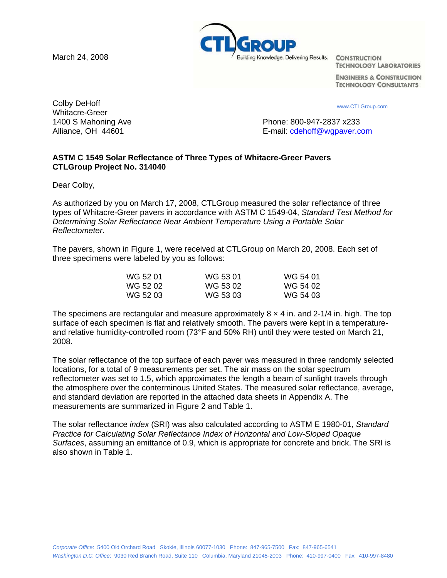March 24, 2008



**TECHNOLOGY LABORATORIES** 

**ENGINEERS & CONSTRUCTION TECHNOLOGY CONSULTANTS** 

Colby DeHoff Whitacre-Greer

www.CTLGroup.com

1400 S Mahoning Ave **Phone: 800-947-2837 x233** Alliance, OH 44601 E-mail: cdehoff@wgpaver.com

## **ASTM C 1549 Solar Reflectance of Three Types of Whitacre-Greer Pavers CTLGroup Project No. 314040**

Dear Colby,

As authorized by you on March 17, 2008, CTLGroup measured the solar reflectance of three types of Whitacre-Greer pavers in accordance with ASTM C 1549-04, *Standard Test Method for Determining Solar Reflectance Near Ambient Temperature Using a Portable Solar Reflectometer*.

The pavers, shown in Figure 1, were received at CTLGroup on March 20, 2008. Each set of three specimens were labeled by you as follows:

| WG 52 01 | WG 53 01 | WG 54 01 |
|----------|----------|----------|
| WG 52 02 | WG 53 02 | WG 54 02 |
| WG 52 03 | WG 53 03 | WG 54 03 |

The specimens are rectangular and measure approximately  $8 \times 4$  in. and 2-1/4 in. high. The top surface of each specimen is flat and relatively smooth. The pavers were kept in a temperatureand relative humidity-controlled room (73°F and 50% RH) until they were tested on March 21, 2008.

The solar reflectance of the top surface of each paver was measured in three randomly selected locations, for a total of 9 measurements per set. The air mass on the solar spectrum reflectometer was set to 1.5, which approximates the length a beam of sunlight travels through the atmosphere over the conterminous United States. The measured solar reflectance, average, and standard deviation are reported in the attached data sheets in Appendix A. The measurements are summarized in Figure 2 and Table 1.

The solar reflectance *index* (SRI) was also calculated according to ASTM E 1980-01, *Standard Practice for Calculating Solar Reflectance Index of Horizontal and Low-Sloped Opaque Surfaces*, assuming an emittance of 0.9, which is appropriate for concrete and brick. The SRI is also shown in Table 1.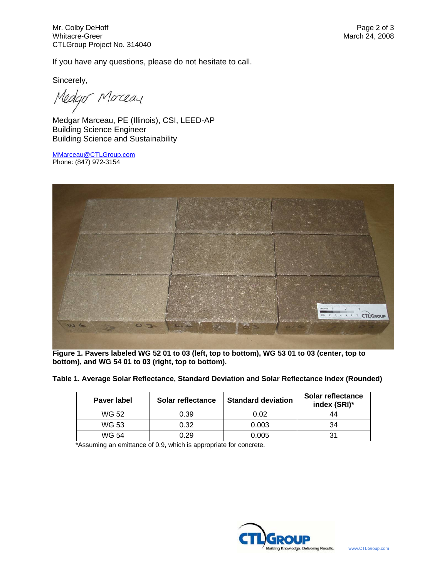If you have any questions, please do not hesitate to call.

Sincerely,

edgo Morceau

Medgar Marceau, PE (Illinois), CSI, LEED-AP Building Science Engineer Building Science and Sustainability

MMarceau@CTLGroup.com Phone: (847) 972-3154



**Figure 1. Pavers labeled WG 52 01 to 03 (left, top to bottom), WG 53 01 to 03 (center, top to bottom), and WG 54 01 to 03 (right, top to bottom).** 

**Table 1. Average Solar Reflectance, Standard Deviation and Solar Reflectance Index (Rounded)** 

| Paver label | Solar reflectance | <b>Standard deviation</b> | Solar reflectance<br>index (SRI)* |
|-------------|-------------------|---------------------------|-----------------------------------|
| WG 52       | 0.39              | 0.02                      | 44                                |
| WG 53       | 0.32              | 0.003                     | 34                                |
| WG 54       | 0.29              | 0.005                     |                                   |

\*Assuming an emittance of 0.9, which is appropriate for concrete.

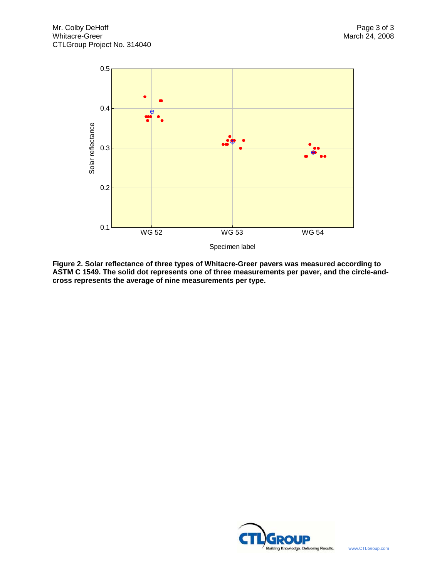

**Figure 2. Solar reflectance of three types of Whitacre-Greer pavers was measured according to ASTM C 1549. The solid dot represents one of three measurements per paver, and the circle-andcross represents the average of nine measurements per type.** 

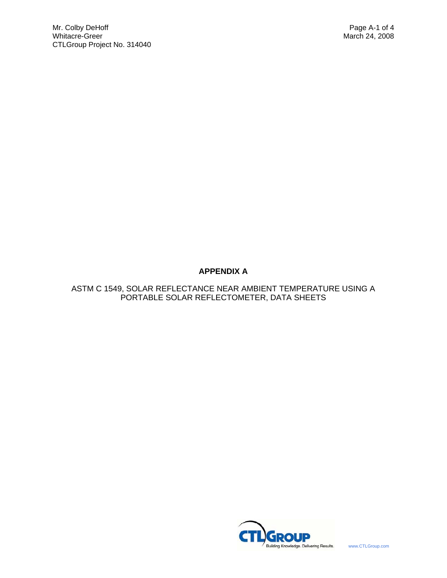# **APPENDIX A**

ASTM C 1549, SOLAR REFLECTANCE NEAR AMBIENT TEMPERATURE USING A PORTABLE SOLAR REFLECTOMETER, DATA SHEETS

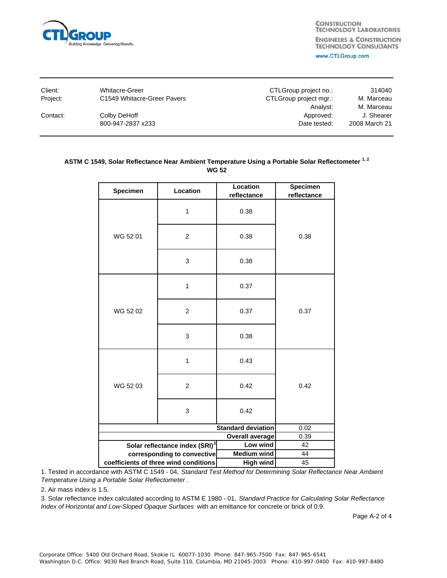

**CONSTRUCTION TECHNOLOGY LABORATORIES ENGINEERS & CONSTRUCTION TECHNOLOGY CONSULTANTS** www.CTLGroup.com

| Client:  | <b>Whitacre-Greer</b>       | CTLGroup project no.:  | 314040        |
|----------|-----------------------------|------------------------|---------------|
| Proiect: | C1549 Whitacre-Greer Pavers | CTLGroup project mgr.: | M. Marceau    |
|          |                             | Analyst:               | M. Marceau    |
| Contact: | Colby DeHoff                | Approved:              | J. Shearer    |
|          | 800-947-2837 x233           | Date tested:           | 2008 March 21 |
|          |                             |                        |               |

### ASTM C 1549, Solar Reflectance Near Ambient Temperature Using a Portable Solar Reflectometer <sup>1, 2</sup> **WG 52**

| Specimen                              | Location                                   | Location<br>reflectance | Specimen<br>reflectance |
|---------------------------------------|--------------------------------------------|-------------------------|-------------------------|
|                                       | 1                                          | 0.38                    |                         |
| WG 5201                               | $\overline{2}$                             | 0.38                    | 0.38                    |
|                                       | 3                                          | 0.38                    |                         |
|                                       | 1                                          | 0.37                    |                         |
| WG 52 02                              | $\overline{c}$                             | 0.37                    | 0.37                    |
|                                       | 3                                          | 0.38                    |                         |
|                                       | 1                                          | 0.43                    |                         |
| WG 5203                               | $\overline{c}$                             | 0.42                    | 0.42                    |
|                                       | 3                                          | 0.42                    |                         |
| <b>Standard deviation</b>             |                                            | 0.02                    |                         |
| <b>Overall average</b>                |                                            | 0.39                    |                         |
|                                       | Solar reflectance index (SRI) <sup>3</sup> | Low wind                | 42                      |
|                                       | corresponding to convective                | <b>Medium wind</b>      | 44                      |
| coefficients of three wind conditions |                                            | <b>High wind</b>        | 45                      |

1. Tested in accordance with ASTM C 1549 - 04, *Standard Test Method for Determining Solar Reflectance Near Ambient Temperature Using a Portable Solar Reflectometer* .

2. Air mass index is 1.5.

3. Solar reflectance index calculated according to ASTM E 1980 - 01, *Standard Practice for Calculating Solar Reflectance Index of Horizontal and Low-Sloped Opaque Surfaces* with an emittance for concrete or brick of 0.9.

Page A-2 of 4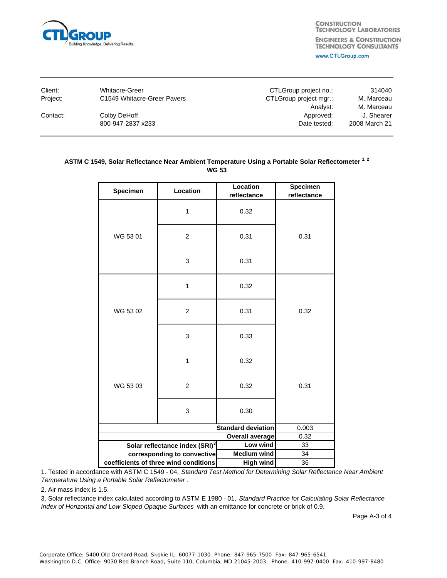

**CONSTRUCTION TECHNOLOGY LABORATORIES ENGINEERS & CONSTRUCTION TECHNOLOGY CONSULTANTS** www.CTLGroup.com

| Client:  | <b>Whitacre-Greer</b>       | CTLGroup project no.:  | 314040        |
|----------|-----------------------------|------------------------|---------------|
| Project: | C1549 Whitacre-Greer Pavers | CTLGroup project mgr.: | M. Marceau    |
|          |                             | Analyst:               | M. Marceau    |
| Contact: | Colby DeHoff                | Approved:              | J. Shearer    |
|          | 800-947-2837 x233           | Date tested:           | 2008 March 21 |

### ASTM C 1549, Solar Reflectance Near Ambient Temperature Using a Portable Solar Reflectometer <sup>1, 2</sup> **WG 53**

| Specimen                                               | Location                    | Location<br>reflectance | Specimen<br>reflectance |
|--------------------------------------------------------|-----------------------------|-------------------------|-------------------------|
|                                                        | 1                           | 0.32                    |                         |
| WG 53 01                                               | $\overline{2}$              | 0.31                    | 0.31                    |
|                                                        | 3                           | 0.31                    |                         |
|                                                        | 1                           | 0.32                    |                         |
| WG 5302                                                | $\overline{2}$              | 0.31                    | 0.32                    |
|                                                        | 3                           | 0.33                    |                         |
|                                                        | 1                           | 0.32                    |                         |
| WG 5303                                                | $\overline{c}$              | 0.32                    | 0.31                    |
|                                                        | 3                           | 0.30                    |                         |
| <b>Standard deviation</b>                              |                             | 0.003                   |                         |
| <b>Overall average</b>                                 |                             | 0.32                    |                         |
| Solar reflectance index (SRI) <sup>3</sup><br>Low wind |                             | 33                      |                         |
|                                                        | corresponding to convective | <b>Medium wind</b>      | 34                      |
| coefficients of three wind conditions                  |                             | <b>High wind</b>        | 36                      |

1. Tested in accordance with ASTM C 1549 - 04, *Standard Test Method for Determining Solar Reflectance Near Ambient Temperature Using a Portable Solar Reflectometer* .

2. Air mass index is 1.5.

3. Solar reflectance index calculated according to ASTM E 1980 - 01, *Standard Practice for Calculating Solar Reflectance Index of Horizontal and Low-Sloped Opaque Surfaces* with an emittance for concrete or brick of 0.9.

Page A-3 of 4